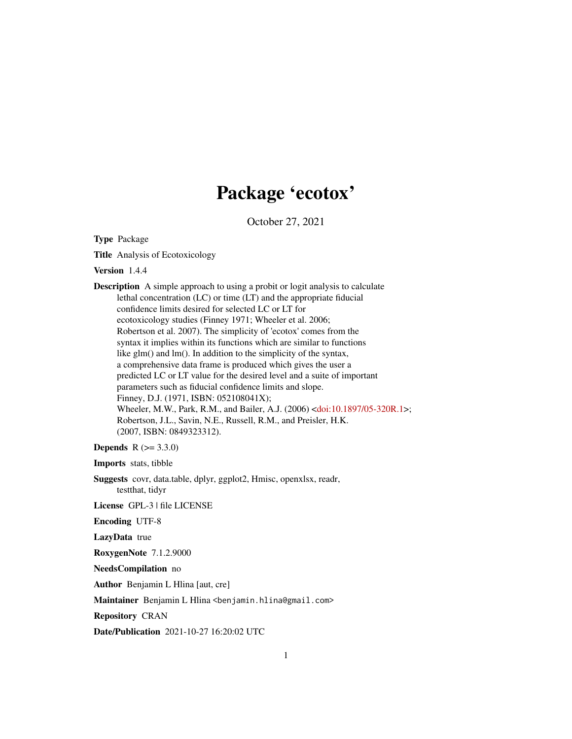## Package 'ecotox'

October 27, 2021

Type Package

Title Analysis of Ecotoxicology

Version 1.4.4

Description A simple approach to using a probit or logit analysis to calculate lethal concentration (LC) or time (LT) and the appropriate fiducial confidence limits desired for selected LC or LT for ecotoxicology studies (Finney 1971; Wheeler et al. 2006; Robertson et al. 2007). The simplicity of 'ecotox' comes from the syntax it implies within its functions which are similar to functions like glm() and lm(). In addition to the simplicity of the syntax, a comprehensive data frame is produced which gives the user a predicted LC or LT value for the desired level and a suite of important parameters such as fiducial confidence limits and slope. Finney, D.J. (1971, ISBN: 052108041X); Wheeler, M.W., Park, R.M., and Bailer, A.J. (2006) [<doi:10.1897/05-320R.1>](https://doi.org/10.1897/05-320R.1); Robertson, J.L., Savin, N.E., Russell, R.M., and Preisler, H.K. (2007, ISBN: 0849323312).

**Depends** R  $(>= 3.3.0)$ 

Imports stats, tibble

Suggests covr, data.table, dplyr, ggplot2, Hmisc, openxlsx, readr, testthat, tidyr

License GPL-3 | file LICENSE

Encoding UTF-8

LazyData true

RoxygenNote 7.1.2.9000

NeedsCompilation no

Author Benjamin L Hlina [aut, cre]

Maintainer Benjamin L Hlina <benjamin.hlina@gmail.com>

Repository CRAN

Date/Publication 2021-10-27 16:20:02 UTC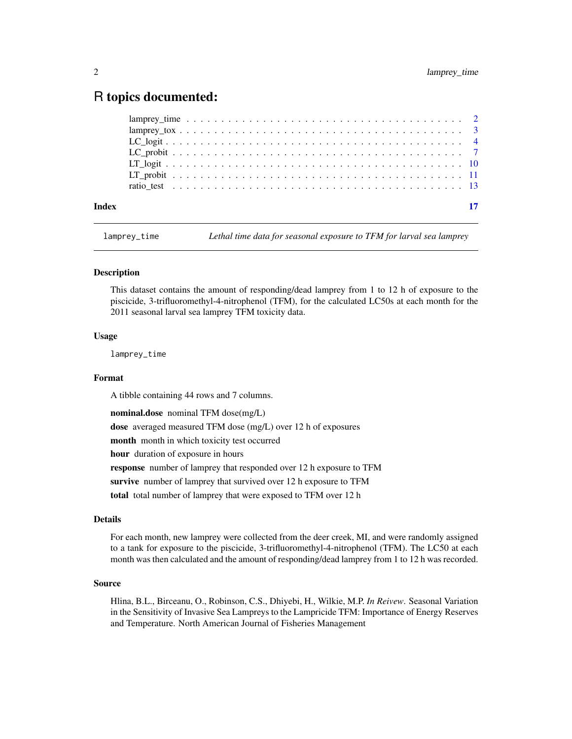### <span id="page-1-0"></span>R topics documented:

| Index | -17 |
|-------|-----|
|       |     |
|       |     |
|       |     |
|       |     |
|       |     |
|       |     |
|       |     |

lamprey\_time *Lethal time data for seasonal exposure to TFM for larval sea lamprey*

#### Description

This dataset contains the amount of responding/dead lamprey from 1 to 12 h of exposure to the piscicide, 3-trifluoromethyl-4-nitrophenol (TFM), for the calculated LC50s at each month for the 2011 seasonal larval sea lamprey TFM toxicity data.

#### Usage

lamprey\_time

#### Format

A tibble containing 44 rows and 7 columns.

nominal.dose nominal TFM dose(mg/L)

dose averaged measured TFM dose (mg/L) over 12 h of exposures

month month in which toxicity test occurred

hour duration of exposure in hours

response number of lamprey that responded over 12 h exposure to TFM

survive number of lamprey that survived over 12 h exposure to TFM

total total number of lamprey that were exposed to TFM over 12 h

#### Details

For each month, new lamprey were collected from the deer creek, MI, and were randomly assigned to a tank for exposure to the piscicide, 3-trifluoromethyl-4-nitrophenol (TFM). The LC50 at each month was then calculated and the amount of responding/dead lamprey from 1 to 12 h was recorded.

#### Source

Hlina, B.L., Birceanu, O., Robinson, C.S., Dhiyebi, H., Wilkie, M.P. *In Reivew*. Seasonal Variation in the Sensitivity of Invasive Sea Lampreys to the Lampricide TFM: Importance of Energy Reserves and Temperature. North American Journal of Fisheries Management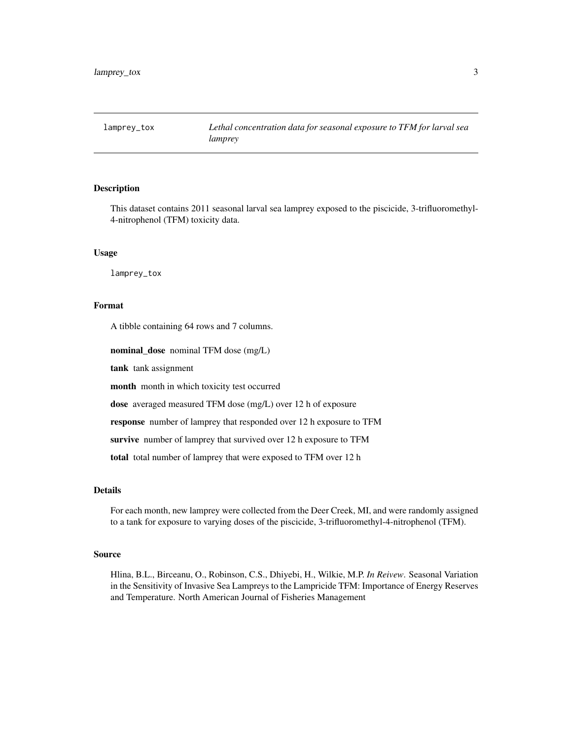<span id="page-2-0"></span>

#### Description

This dataset contains 2011 seasonal larval sea lamprey exposed to the piscicide, 3-trifluoromethyl-4-nitrophenol (TFM) toxicity data.

#### Usage

lamprey\_tox

#### Format

A tibble containing 64 rows and 7 columns.

nominal\_dose nominal TFM dose (mg/L)

tank tank assignment

month month in which toxicity test occurred

dose averaged measured TFM dose (mg/L) over 12 h of exposure

response number of lamprey that responded over 12 h exposure to TFM

survive number of lamprey that survived over 12 h exposure to TFM

total total number of lamprey that were exposed to TFM over 12 h

#### Details

For each month, new lamprey were collected from the Deer Creek, MI, and were randomly assigned to a tank for exposure to varying doses of the piscicide, 3-trifluoromethyl-4-nitrophenol (TFM).

#### Source

Hlina, B.L., Birceanu, O., Robinson, C.S., Dhiyebi, H., Wilkie, M.P. *In Reivew*. Seasonal Variation in the Sensitivity of Invasive Sea Lampreys to the Lampricide TFM: Importance of Energy Reserves and Temperature. North American Journal of Fisheries Management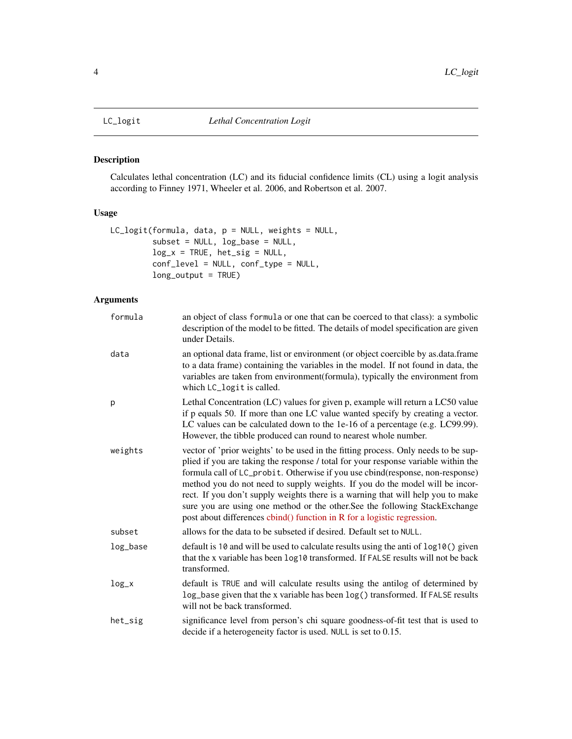<span id="page-3-0"></span>

#### Description

Calculates lethal concentration (LC) and its fiducial confidence limits (CL) using a logit analysis according to Finney 1971, Wheeler et al. 2006, and Robertson et al. 2007.

#### Usage

```
LC_logit(formula, data, p = NULL, weights = NULL,
         subset = NULL, log_base = NULL,
         log_x = TRUE, het\_sig = NULL,
         conf_level = NULL, conf_type = NULL,
         long_output = TRUE)
```

| formula  | an object of class formula or one that can be coerced to that class): a symbolic<br>description of the model to be fitted. The details of model specification are given<br>under Details.                                                                                                                                                                                                                                                                                                                                                                                              |
|----------|----------------------------------------------------------------------------------------------------------------------------------------------------------------------------------------------------------------------------------------------------------------------------------------------------------------------------------------------------------------------------------------------------------------------------------------------------------------------------------------------------------------------------------------------------------------------------------------|
| data     | an optional data frame, list or environment (or object coercible by as data frame<br>to a data frame) containing the variables in the model. If not found in data, the<br>variables are taken from environment(formula), typically the environment from<br>which LC_logit is called.                                                                                                                                                                                                                                                                                                   |
| p        | Lethal Concentration (LC) values for given p, example will return a LC50 value<br>if p equals 50. If more than one LC value wanted specify by creating a vector.<br>LC values can be calculated down to the 1e-16 of a percentage (e.g. LC99.99).<br>However, the tibble produced can round to nearest whole number.                                                                                                                                                                                                                                                                   |
| weights  | vector of 'prior weights' to be used in the fitting process. Only needs to be sup-<br>plied if you are taking the response / total for your response variable within the<br>formula call of LC_probit. Otherwise if you use cbind(response, non-response)<br>method you do not need to supply weights. If you do the model will be incor-<br>rect. If you don't supply weights there is a warning that will help you to make<br>sure you are using one method or the other. See the following StackExchange<br>post about differences cbind() function in R for a logistic regression. |
| subset   | allows for the data to be subseted if desired. Default set to NULL.                                                                                                                                                                                                                                                                                                                                                                                                                                                                                                                    |
| log_base | default is 10 and will be used to calculate results using the anti of log10() given<br>that the x variable has been log10 transformed. If FALSE results will not be back<br>transformed.                                                                                                                                                                                                                                                                                                                                                                                               |
| $log_x$  | default is TRUE and will calculate results using the antilog of determined by<br>log_base given that the x variable has been log() transformed. If FALSE results<br>will not be back transformed.                                                                                                                                                                                                                                                                                                                                                                                      |
| het_sig  | significance level from person's chi square goodness-of-fit test that is used to<br>decide if a heterogeneity factor is used. NULL is set to 0.15.                                                                                                                                                                                                                                                                                                                                                                                                                                     |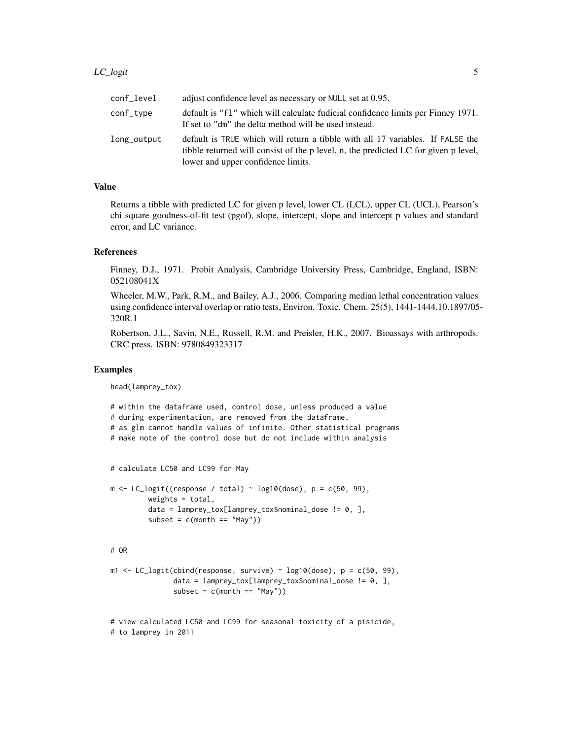| conf_level  | adjust confidence level as necessary or NULL set at 0.95.                                                                                                                                                   |
|-------------|-------------------------------------------------------------------------------------------------------------------------------------------------------------------------------------------------------------|
| conf_type   | default is "f1" which will calculate fudicial confidence limits per Finney 1971.<br>If set to "dm" the delta method will be used instead.                                                                   |
| long_output | default is TRUE which will return a tibble with all 17 variables. If FALSE the<br>tibble returned will consist of the p level, n, the predicted LC for given p level,<br>lower and upper confidence limits. |

#### Value

Returns a tibble with predicted LC for given p level, lower CL (LCL), upper CL (UCL), Pearson's chi square goodness-of-fit test (pgof), slope, intercept, slope and intercept p values and standard error, and LC variance.

#### References

Finney, D.J., 1971. Probit Analysis, Cambridge University Press, Cambridge, England, ISBN: 052108041X

Wheeler, M.W., Park, R.M., and Bailey, A.J., 2006. Comparing median lethal concentration values using confidence interval overlap or ratio tests, Environ. Toxic. Chem. 25(5), 1441-1444.10.1897/05- 320R.1

Robertson, J.L., Savin, N.E., Russell, R.M. and Preisler, H.K., 2007. Bioassays with arthropods. CRC press. ISBN: 9780849323317

#### Examples

head(lamprey\_tox)

# within the dataframe used, control dose, unless produced a value # during experimentation, are removed from the dataframe, # as glm cannot handle values of infinite. Other statistical programs # make note of the control dose but do not include within analysis # calculate LC50 and LC99 for May  $m \leftarrow LC\_logit((response / total) \sim log10(dose), p = c(50, 99),$ weights  $=$  total,  $data = lamprey_to x[lamprey_to x$nominal_dose != 0, ]$  $subset = c(morth == "May")$ # OR  $m1 \leq LC_{logit}(cbind(response, survive) \approx log10(dose), p = c(50, 99),$ data = lamprey\_tox[lamprey\_tox\$nominal\_dose != 0, ],  $subset = c(morth == "May")$ # view calculated LC50 and LC99 for seasonal toxicity of a pisicide,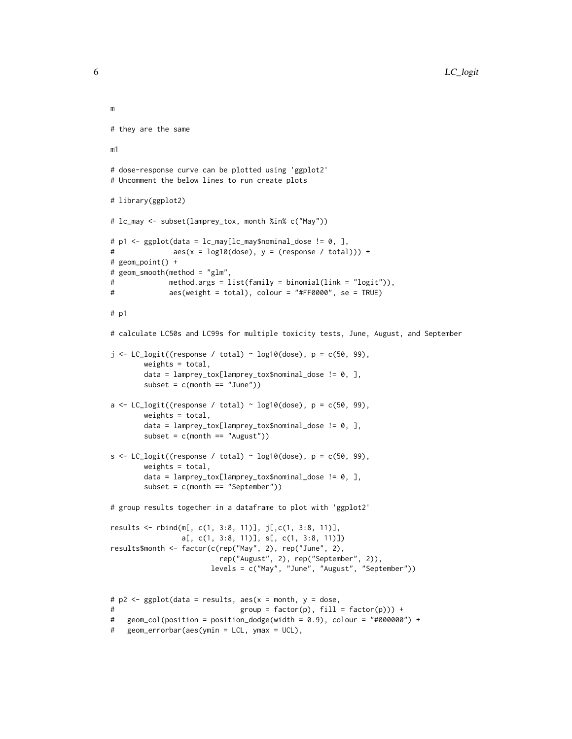```
m
# they are the same
m1
# dose-response curve can be plotted using 'ggplot2'
# Uncomment the below lines to run create plots
# library(ggplot2)
# lc_may <- subset(lamprey_tox, month %in% c("May"))
# p1 <- ggplot(data = lc_may[lc_may$nominal_dose != 0, ],
# aes(x = log10(dose), y = (response / total))) +
# geom_point() +
# geom_smooth(method = "glm",
# method.args = list(family = binomial(link = "logit")),
# aes(weight = total), colour = "#FF0000", se = TRUE)
# p1
# calculate LC50s and LC99s for multiple toxicity tests, June, August, and September
j \leq LC_{logit}((response / total) \sim log10(dose), p = c(50, 99),weights = total,
       data = lamprey_tox[lamprey_tox$nominal_dose != 0, ],
        subset = c(month == "June"))a \leftarrow LC\_logit((response / total) \sim log10(dose), p = c(50, 99),weights = total,
       data = lamprey_tox[lamprey_tox$nominal_dose != 0, ],
       subset = c(month == "August"))s <- LC_logit((response / total) ~ log10(dose), p = c(50, 99),
       weights = total,
       data = lamprey_tox[lamprey_tox$nominal_dose != 0, ],
       subset = c(month == "September"))
# group results together in a dataframe to plot with 'ggplot2'
results <- rbind(m[, c(1, 3:8, 11)], j[,c(1, 3:8, 11)],
                a[, c(1, 3:8, 11)], s[, c(1, 3:8, 11)])
results$month <- factor(c(rep("May", 2), rep("June", 2),
                         rep("August", 2), rep("September", 2)),
                       levels = c("May", "June", "August", "September"))
# p2 <- ggplot(data = results, aes(x = month, y = dose,
# group = factor(p), fill = factor(p))) +
# geom_col(position = position_dodge(width = 0.9), colour = "#000000") +
# geom_errorbar(aes(ymin = LCL, ymax = UCL),
```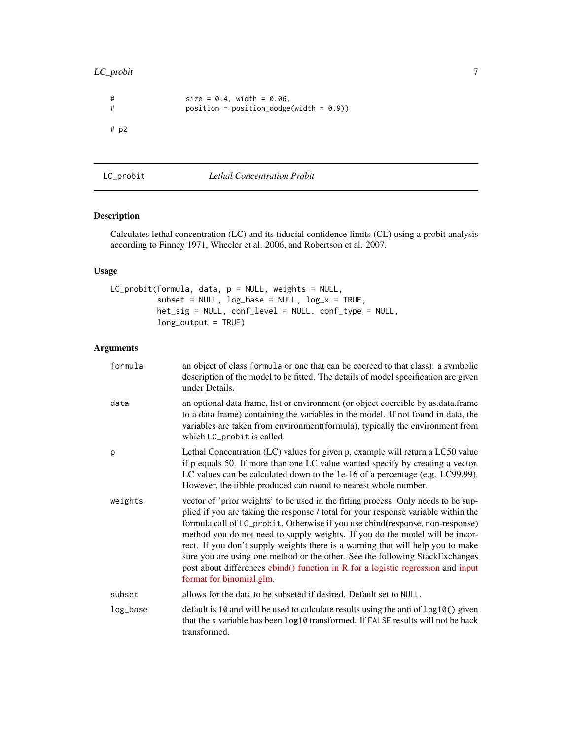#### <span id="page-6-0"></span>LC\_probit 7

```
# size = 0.4, width = 0.06,
# position = position_dodge(width = 0.9))
# p2
```
LC\_probit *Lethal Concentration Probit*

#### Description

Calculates lethal concentration (LC) and its fiducial confidence limits (CL) using a probit analysis according to Finney 1971, Wheeler et al. 2006, and Robertson et al. 2007.

#### Usage

```
LC_probit(formula, data, p = NULL, weights = NULL,
          subset = NULL, log\_base = NULL, log\_x = TRUE,
          het_sig = NULL, conf_level = NULL, conf_type = NULL,
          long_output = TRUE)
```

| formula  | an object of class formula or one that can be coerced to that class): a symbolic<br>description of the model to be fitted. The details of model specification are given<br>under Details.                                                                                                                                                                                                                                                                                                                                                                                                                                    |
|----------|------------------------------------------------------------------------------------------------------------------------------------------------------------------------------------------------------------------------------------------------------------------------------------------------------------------------------------------------------------------------------------------------------------------------------------------------------------------------------------------------------------------------------------------------------------------------------------------------------------------------------|
| data     | an optional data frame, list or environment (or object coercible by as data frame<br>to a data frame) containing the variables in the model. If not found in data, the<br>variables are taken from environment (formula), typically the environment from<br>which LC_probit is called.                                                                                                                                                                                                                                                                                                                                       |
| p        | Lethal Concentration (LC) values for given p, example will return a LC50 value<br>if p equals 50. If more than one LC value wanted specify by creating a vector.<br>LC values can be calculated down to the 1e-16 of a percentage (e.g. LC99.99).<br>However, the tibble produced can round to nearest whole number.                                                                                                                                                                                                                                                                                                         |
| weights  | vector of 'prior weights' to be used in the fitting process. Only needs to be sup-<br>plied if you are taking the response / total for your response variable within the<br>formula call of LC_probit. Otherwise if you use cbind(response, non-response)<br>method you do not need to supply weights. If you do the model will be incor-<br>rect. If you don't supply weights there is a warning that will help you to make<br>sure you are using one method or the other. See the following StackExchanges<br>post about differences cbind() function in R for a logistic regression and input<br>format for binomial glm. |
| subset   | allows for the data to be subseted if desired. Default set to NULL.                                                                                                                                                                                                                                                                                                                                                                                                                                                                                                                                                          |
| log_base | default is 10 and will be used to calculate results using the anti of log10() given<br>that the x variable has been log10 transformed. If FALSE results will not be back<br>transformed.                                                                                                                                                                                                                                                                                                                                                                                                                                     |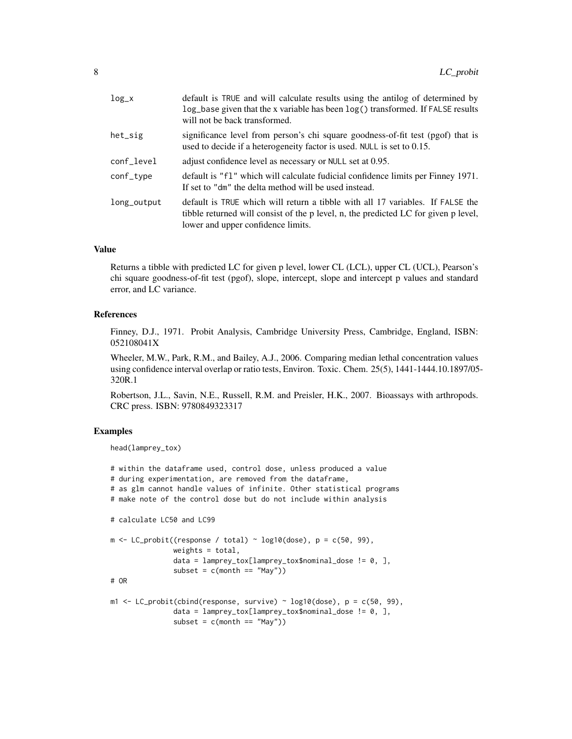| $log_x$     | default is TRUE and will calculate results using the antilog of determined by<br>$log_b$ base given that the x variable has been $log()$ transformed. If FALSE results<br>will not be back transformed.     |
|-------------|-------------------------------------------------------------------------------------------------------------------------------------------------------------------------------------------------------------|
| het_sig     | significance level from person's chi square goodness-of-fit test (pgof) that is<br>used to decide if a heterogeneity factor is used. NULL is set to 0.15.                                                   |
| conf_level  | adjust confidence level as necessary or NULL set at 0.95.                                                                                                                                                   |
| conf_type   | default is "f1" which will calculate fudicial confidence limits per Finney 1971.<br>If set to "dm" the delta method will be used instead.                                                                   |
| long_output | default is TRUE which will return a tibble with all 17 variables. If FALSE the<br>tibble returned will consist of the p level, n, the predicted LC for given p level,<br>lower and upper confidence limits. |

#### Value

Returns a tibble with predicted LC for given p level, lower CL (LCL), upper CL (UCL), Pearson's chi square goodness-of-fit test (pgof), slope, intercept, slope and intercept p values and standard error, and LC variance.

#### References

Finney, D.J., 1971. Probit Analysis, Cambridge University Press, Cambridge, England, ISBN: 052108041X

Wheeler, M.W., Park, R.M., and Bailey, A.J., 2006. Comparing median lethal concentration values using confidence interval overlap or ratio tests, Environ. Toxic. Chem. 25(5), 1441-1444.10.1897/05- 320R.1

Robertson, J.L., Savin, N.E., Russell, R.M. and Preisler, H.K., 2007. Bioassays with arthropods. CRC press. ISBN: 9780849323317

#### Examples

```
head(lamprey_tox)
```

```
# within the dataframe used, control dose, unless produced a value
# during experimentation, are removed from the dataframe,
# as glm cannot handle values of infinite. Other statistical programs
# make note of the control dose but do not include within analysis
# calculate LC50 and LC99
m \leftarrow LC\_probit((response / total) \sim log10(dose), p = c(50, 99),weights = total,
               data = lamprey_tox[lamprey_tox$nominal_dose != 0, ],
               subset = c(morth == "May")# OR
m1 <- LC_probit(cbind(response, survive) ~ log10(dose), p = c(50, 99),
               data = lamprey_tox[lamprey_tox$nominal_dose != 0, ],
               subset = c(morth == "May")
```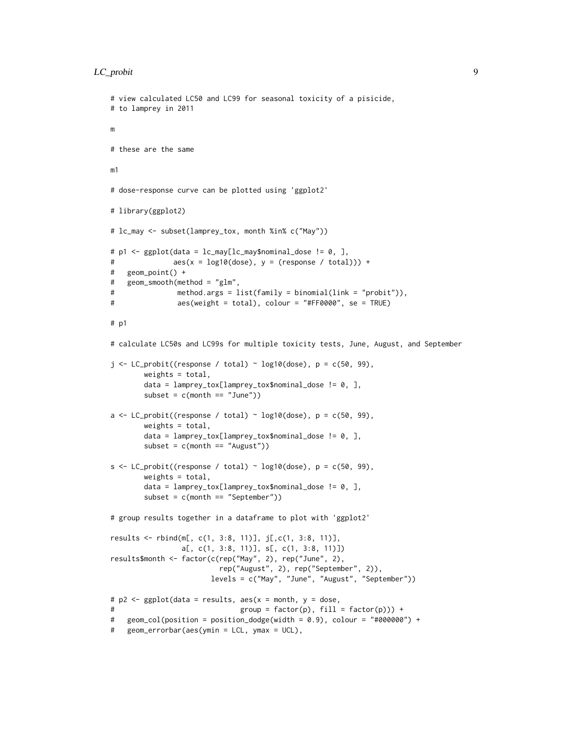#### LC\_probit 9

```
# view calculated LC50 and LC99 for seasonal toxicity of a pisicide,
# to lamprey in 2011
m
# these are the same
m1
# dose-response curve can be plotted using 'ggplot2'
# library(ggplot2)
# lc_may <- subset(lamprey_tox, month %in% c("May"))
# p1 <- ggplot(data = lc_may[lc_may$nominal_dose != 0, ],
# aes(x = log10(dose), y = (response / total))) +# geom_point() +
# geom_smooth(method = "glm",
# method.args = list(family = binomial(link = "probit")),
# aes(weight = total), colour = "#FF0000", se = TRUE)
# p1
# calculate LC50s and LC99s for multiple toxicity tests, June, August, and September
j \leq LC\_probit((response / total) \sim log10(dose), p = c(50, 99),weights = total,
       data = lamprey_tox[lamprey_tox$nominal_dose != 0, ],
       subset = c(month == "June"))a \leq LC_probit((response / total) \sim log10(dose), p = c(50, 99),
       weights = total,
       data = lamprey_tox[lamprey_tox$nominal_dose != 0, ],
       subset = c(month == "August"))s <- LC_probit((response / total) ~ log10(dose), p = c(50, 99),
       weights = total,
       data = lamprey_tox[lamprey_tox$nominal_dose != 0, ],
       subset = c(morth == "September")# group results together in a dataframe to plot with 'ggplot2'
results <- rbind(m[, c(1, 3:8, 11)], j[,c(1, 3:8, 11)],
                a[, c(1, 3:8, 11)], s[, c(1, 3:8, 11)])
results$month <- factor(c(rep("May", 2), rep("June", 2),
                         rep("August", 2), rep("September", 2)),
                       levels = c("May", "June", "August", "September"))
# p2 <- ggplot(data = results, aes(x = month, y = dose,
# group = factor(p), fill = factor(p))) +
# geom_col(position = position_dodge(width = 0.9), colour = "#000000") +
# geom_errorbar(aes(ymin = LCL, ymax = UCL),
```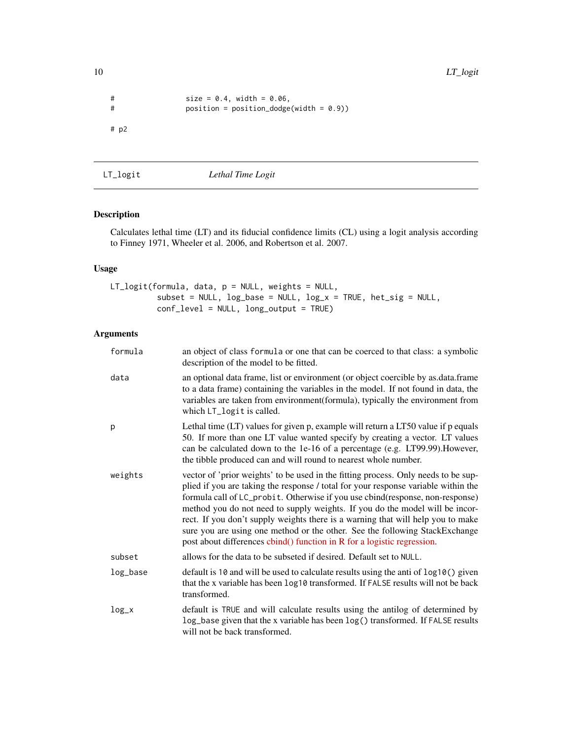```
# size = 0.4, width = 0.06,
# position = position_dodge(width = 0.9))
# p2
```
LT\_logit *Lethal Time Logit*

#### Description

Calculates lethal time (LT) and its fiducial confidence limits (CL) using a logit analysis according to Finney 1971, Wheeler et al. 2006, and Robertson et al. 2007.

#### Usage

```
LT_logit(formula, data, p = NULL, weights = NULL,
          subset = NULL, log\_base = NULL, log\_x = TRUE, het\_sig = NULL,
          conf_level = NULL, long_output = TRUE)
```

| formula   | an object of class formula or one that can be coerced to that class: a symbolic<br>description of the model to be fitted.                                                                                                                                                                                                                                                                                                                                                                                                                                                              |
|-----------|----------------------------------------------------------------------------------------------------------------------------------------------------------------------------------------------------------------------------------------------------------------------------------------------------------------------------------------------------------------------------------------------------------------------------------------------------------------------------------------------------------------------------------------------------------------------------------------|
| data      | an optional data frame, list or environment (or object coercible by as data frame<br>to a data frame) containing the variables in the model. If not found in data, the<br>variables are taken from environment(formula), typically the environment from<br>which LT_logit is called.                                                                                                                                                                                                                                                                                                   |
| р         | Lethal time (LT) values for given p, example will return a LT50 value if p equals<br>50. If more than one LT value wanted specify by creating a vector. LT values<br>can be calculated down to the 1e-16 of a percentage (e.g. LT99.99). However,<br>the tibble produced can and will round to nearest whole number.                                                                                                                                                                                                                                                                   |
| weights   | vector of 'prior weights' to be used in the fitting process. Only needs to be sup-<br>plied if you are taking the response / total for your response variable within the<br>formula call of LC_probit. Otherwise if you use cbind(response, non-response)<br>method you do not need to supply weights. If you do the model will be incor-<br>rect. If you don't supply weights there is a warning that will help you to make<br>sure you are using one method or the other. See the following StackExchange<br>post about differences cbind() function in R for a logistic regression. |
| subset    | allows for the data to be subseted if desired. Default set to NULL.                                                                                                                                                                                                                                                                                                                                                                                                                                                                                                                    |
| log_base  | default is 10 and will be used to calculate results using the anti of log10() given<br>that the x variable has been log10 transformed. If FALSE results will not be back<br>transformed.                                                                                                                                                                                                                                                                                                                                                                                               |
| $log_x x$ | default is TRUE and will calculate results using the antilog of determined by<br>log_base given that the x variable has been log() transformed. If FALSE results<br>will not be back transformed.                                                                                                                                                                                                                                                                                                                                                                                      |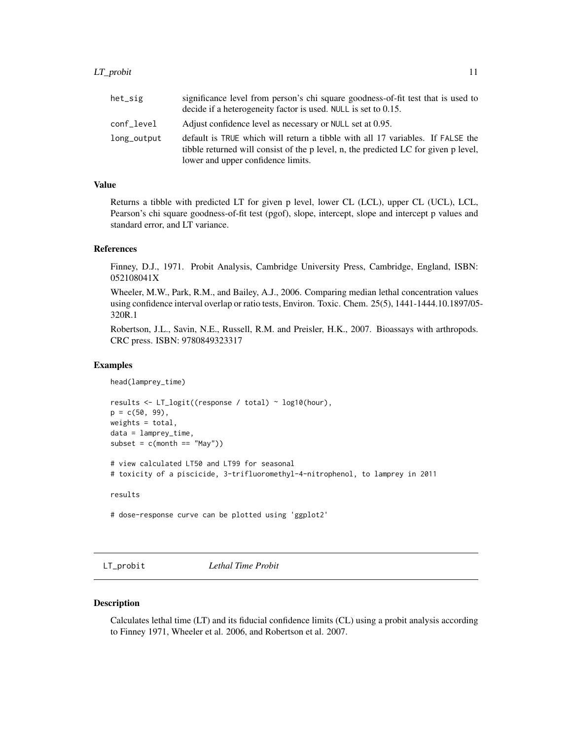<span id="page-10-0"></span>

| het_sig     | significance level from person's chi square goodness-of-fit test that is used to<br>decide if a heterogeneity factor is used. NULL is set to 0.15.                                                          |
|-------------|-------------------------------------------------------------------------------------------------------------------------------------------------------------------------------------------------------------|
| conf_level  | Adjust confidence level as necessary or NULL set at 0.95.                                                                                                                                                   |
| long_output | default is TRUE which will return a tibble with all 17 variables. If FALSE the<br>tibble returned will consist of the p level, n, the predicted LC for given p level,<br>lower and upper confidence limits. |

#### Value

Returns a tibble with predicted LT for given p level, lower CL (LCL), upper CL (UCL), LCL, Pearson's chi square goodness-of-fit test (pgof), slope, intercept, slope and intercept p values and standard error, and LT variance.

#### References

Finney, D.J., 1971. Probit Analysis, Cambridge University Press, Cambridge, England, ISBN: 052108041X

Wheeler, M.W., Park, R.M., and Bailey, A.J., 2006. Comparing median lethal concentration values using confidence interval overlap or ratio tests, Environ. Toxic. Chem. 25(5), 1441-1444.10.1897/05- 320R.1

Robertson, J.L., Savin, N.E., Russell, R.M. and Preisler, H.K., 2007. Bioassays with arthropods. CRC press. ISBN: 9780849323317

#### Examples

```
head(lamprey_time)
```

```
results <- LT_logit((response / total) ~ log10(hour),
p = c(50, 99),
weights = total,
data = lamprey_time,
subset = c(morth == "May"))# view calculated LT50 and LT99 for seasonal
# toxicity of a piscicide, 3-trifluoromethyl-4-nitrophenol, to lamprey in 2011
results
```
# dose-response curve can be plotted using 'ggplot2'

LT\_probit *Lethal Time Probit*

#### Description

Calculates lethal time (LT) and its fiducial confidence limits (CL) using a probit analysis according to Finney 1971, Wheeler et al. 2006, and Robertson et al. 2007.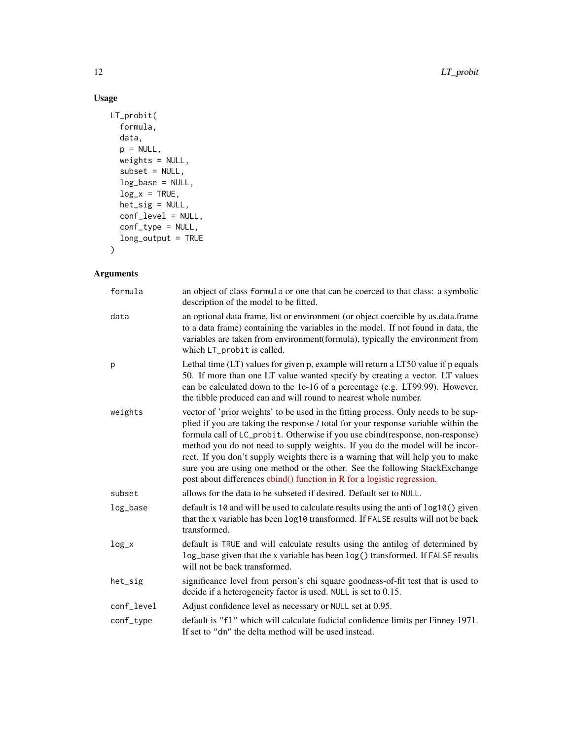#### Usage

```
LT_probit(
  formula,
  data,
  p = NULL,weights = NULL,
  subset = NULL,
  log_base = NULL,
  log_x = TRUE,het_sig = NULL,
  conf_level = NULL,
  conf_type = NULL,
  long_output = TRUE
\mathcal{L}
```

| formula    | an object of class formula or one that can be coerced to that class: a symbolic<br>description of the model to be fitted.                                                                                                                                                                                                                                                                                                                                                                                                                                                              |
|------------|----------------------------------------------------------------------------------------------------------------------------------------------------------------------------------------------------------------------------------------------------------------------------------------------------------------------------------------------------------------------------------------------------------------------------------------------------------------------------------------------------------------------------------------------------------------------------------------|
| data       | an optional data frame, list or environment (or object coercible by as data frame<br>to a data frame) containing the variables in the model. If not found in data, the<br>variables are taken from environment(formula), typically the environment from<br>which LT_probit is called.                                                                                                                                                                                                                                                                                                  |
| p          | Lethal time (LT) values for given p, example will return a LT50 value if p equals<br>50. If more than one LT value wanted specify by creating a vector. LT values<br>can be calculated down to the 1e-16 of a percentage (e.g. LT99.99). However,<br>the tibble produced can and will round to nearest whole number.                                                                                                                                                                                                                                                                   |
| weights    | vector of 'prior weights' to be used in the fitting process. Only needs to be sup-<br>plied if you are taking the response / total for your response variable within the<br>formula call of LC_probit. Otherwise if you use cbind(response, non-response)<br>method you do not need to supply weights. If you do the model will be incor-<br>rect. If you don't supply weights there is a warning that will help you to make<br>sure you are using one method or the other. See the following StackExchange<br>post about differences cbind() function in R for a logistic regression. |
| subset     | allows for the data to be subseted if desired. Default set to NULL.                                                                                                                                                                                                                                                                                                                                                                                                                                                                                                                    |
| log_base   | default is 10 and will be used to calculate results using the anti of log10() given<br>that the x variable has been log10 transformed. If FALSE results will not be back<br>transformed.                                                                                                                                                                                                                                                                                                                                                                                               |
| $log_x$    | default is TRUE and will calculate results using the antilog of determined by<br>log_base given that the x variable has been log() transformed. If FALSE results<br>will not be back transformed.                                                                                                                                                                                                                                                                                                                                                                                      |
| het_sig    | significance level from person's chi square goodness-of-fit test that is used to<br>decide if a heterogeneity factor is used. NULL is set to 0.15.                                                                                                                                                                                                                                                                                                                                                                                                                                     |
| conf_level | Adjust confidence level as necessary or NULL set at 0.95.                                                                                                                                                                                                                                                                                                                                                                                                                                                                                                                              |
| conf_type  | default is "f1" which will calculate fudicial confidence limits per Finney 1971.<br>If set to "dm" the delta method will be used instead.                                                                                                                                                                                                                                                                                                                                                                                                                                              |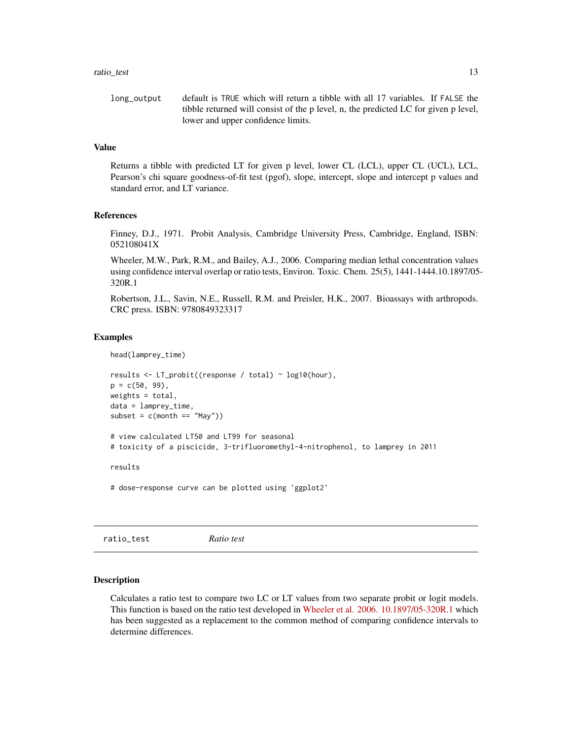#### <span id="page-12-0"></span>ratio\_test 13

```
long_output default is TRUE which will return a tibble with all 17 variables. If FALSE the
                  tibble returned will consist of the p level, n, the predicted LC for given p level,
                  lower and upper confidence limits.
```
#### Value

Returns a tibble with predicted LT for given p level, lower CL (LCL), upper CL (UCL), LCL, Pearson's chi square goodness-of-fit test (pgof), slope, intercept, slope and intercept p values and standard error, and LT variance.

#### References

Finney, D.J., 1971. Probit Analysis, Cambridge University Press, Cambridge, England, ISBN: 052108041X

Wheeler, M.W., Park, R.M., and Bailey, A.J., 2006. Comparing median lethal concentration values using confidence interval overlap or ratio tests, Environ. Toxic. Chem. 25(5), 1441-1444.10.1897/05- 320R.1

Robertson, J.L., Savin, N.E., Russell, R.M. and Preisler, H.K., 2007. Bioassays with arthropods. CRC press. ISBN: 9780849323317

#### Examples

head(lamprey\_time)

```
results <- LT_probit((response / total) ~ log10(hour),
p = c(50, 99),
weights = total,
data = lamprey_time,
subset = c(month == "May")# view calculated LT50 and LT99 for seasonal
# toxicity of a piscicide, 3-trifluoromethyl-4-nitrophenol, to lamprey in 2011
```
results

# dose-response curve can be plotted using 'ggplot2'

ratio\_test *Ratio test*

#### **Description**

Calculates a ratio test to compare two LC or LT values from two separate probit or logit models. This function is based on the ratio test developed in [Wheeler et al. 2006. 10.1897/05-320R.1](https://setac.onlinelibrary.wiley.com/doi/abs/10.1897/05-320R.1) which has been suggested as a replacement to the common method of comparing confidence intervals to determine differences.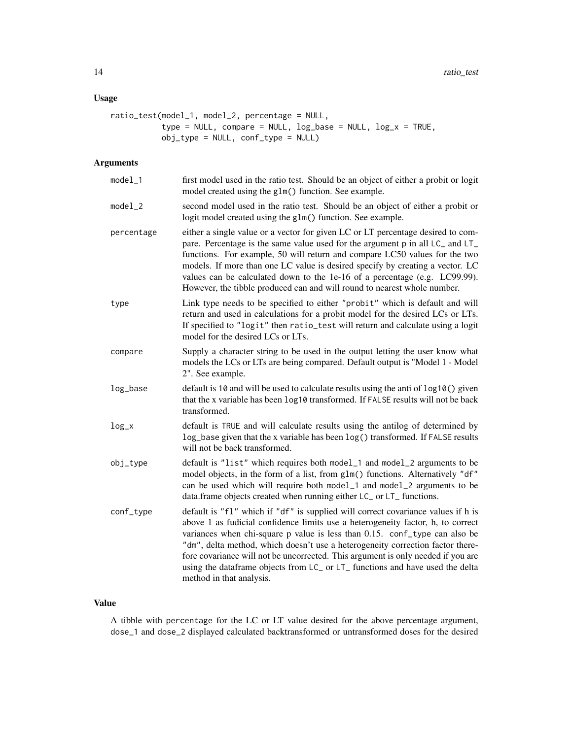#### Usage

```
ratio_test(model_1, model_2, percentage = NULL,
           type = NULL, compare = NULL, log\_base = NULL, log\_x = TRUE,
          obj_type = NULL, conf_type = NULL)
```
#### Arguments

| $model_1$  | first model used in the ratio test. Should be an object of either a probit or logit<br>model created using the glm() function. See example.                                                                                                                                                                                                                                                                                                                                                                                          |
|------------|--------------------------------------------------------------------------------------------------------------------------------------------------------------------------------------------------------------------------------------------------------------------------------------------------------------------------------------------------------------------------------------------------------------------------------------------------------------------------------------------------------------------------------------|
| $model_2$  | second model used in the ratio test. Should be an object of either a probit or<br>logit model created using the glm() function. See example.                                                                                                                                                                                                                                                                                                                                                                                         |
| percentage | either a single value or a vector for given LC or LT percentage desired to com-<br>pare. Percentage is the same value used for the argument p in all LC_ and LT_<br>functions. For example, 50 will return and compare LC50 values for the two<br>models. If more than one LC value is desired specify by creating a vector. LC<br>values can be calculated down to the 1e-16 of a percentage (e.g. LC99.99).<br>However, the tibble produced can and will round to nearest whole number.                                            |
| type       | Link type needs to be specified to either "probit" which is default and will<br>return and used in calculations for a probit model for the desired LCs or LTs.<br>If specified to "logit" then ratio_test will return and calculate using a logit<br>model for the desired LCs or LTs.                                                                                                                                                                                                                                               |
| compare    | Supply a character string to be used in the output letting the user know what<br>models the LCs or LTs are being compared. Default output is "Model 1 - Model<br>2". See example.                                                                                                                                                                                                                                                                                                                                                    |
| log_base   | default is 10 and will be used to calculate results using the anti of log10() given<br>that the x variable has been log10 transformed. If FALSE results will not be back<br>transformed.                                                                                                                                                                                                                                                                                                                                             |
| $log_x$    | default is TRUE and will calculate results using the antilog of determined by<br>log_base given that the x variable has been log() transformed. If FALSE results<br>will not be back transformed.                                                                                                                                                                                                                                                                                                                                    |
| obj_type   | default is "list" which requires both model_1 and model_2 arguments to be<br>model objects, in the form of a list, from glm() functions. Alternatively "df"<br>can be used which will require both model_1 and model_2 arguments to be<br>data.frame objects created when running either LC_ or LT_ functions.                                                                                                                                                                                                                       |
| conf_type  | default is "f1" which if "df" is supplied will correct covariance values if h is<br>above 1 as fudicial confidence limits use a heterogeneity factor, h, to correct<br>variances when chi-square p value is less than 0.15. conf_type can also be<br>"dm", delta method, which doesn't use a heterogeneity correction factor there-<br>fore covariance will not be uncorrected. This argument is only needed if you are<br>using the dataframe objects from LC_ or LT_ functions and have used the delta<br>method in that analysis. |

#### Value

A tibble with percentage for the LC or LT value desired for the above percentage argument, dose\_1 and dose\_2 displayed calculated backtransformed or untransformed doses for the desired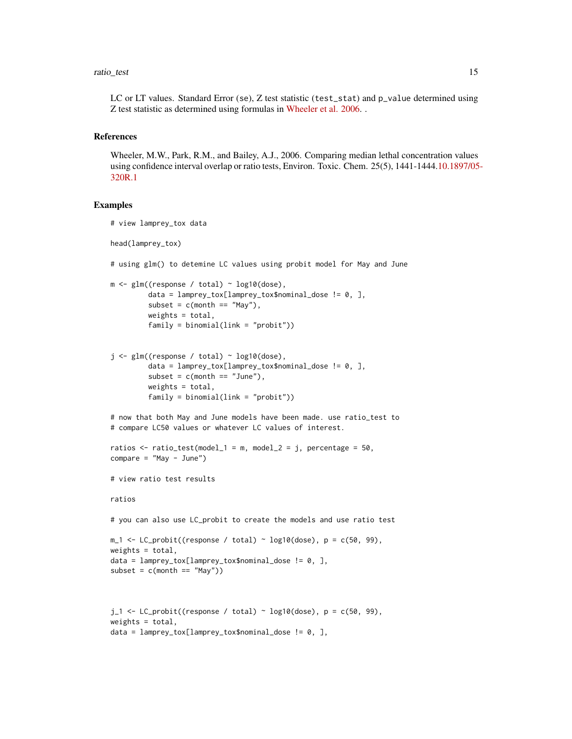LC or LT values. Standard Error (se), Z test statistic (test\_stat) and p\_value determined using Z test statistic as determined using formulas in [Wheeler et al. 2006.](https://setac.onlinelibrary.wiley.com/doi/abs/10.1897/05-320R.1) .

#### References

Wheeler, M.W., Park, R.M., and Bailey, A.J., 2006. Comparing median lethal concentration values using confidence interval overlap or ratio tests, Environ. Toxic. Chem. 25(5), 1441-1444[.10.1897/05](https://setac.onlinelibrary.wiley.com/doi/abs/10.1897/05-320R.1)- [320R.1](https://setac.onlinelibrary.wiley.com/doi/abs/10.1897/05-320R.1)

#### Examples

```
# view lamprey_tox data
head(lamprey_tox)
# using glm() to detemine LC values using probit model for May and June
m \leq -g \ln((resparse / total) \sim log10(dose)),data = lamprey_tox[lamprey_tox$nominal_dose != 0, ],
         subset = c(morth == "May"),
         weights = total,
         family = binomial(link = "probit"))
j \leq glm((response / total) \sim log10(dose)),data = lamprey_tox[lamprey_tox$nominal_dose != 0, ],
         subset = c(month == "June"),weights = total.
         family = binomial(link = "probit")# now that both May and June models have been made. use ratio_test to
# compare LC50 values or whatever LC values of interest.
ratios \le ratio_test(model_1 = m, model_2 = j, percentage = 50,
compare = "May - June")# view ratio test results
ratios
# you can also use LC_probit to create the models and use ratio test
m_1 <- LC_probit((response / total) ~ log10(dose), p = c(50, 99),
weights = total,
data = lamprey_tox[lamprey_tox$nominal_dose != 0, ],
subset = c(morth == "May")j_1 <- LC_probit((response / total) ~ log10(dose), p = c(50, 99),
weights = total,
data = lamprey_tox[lamprey_tox$nominal_dose != 0, ],
```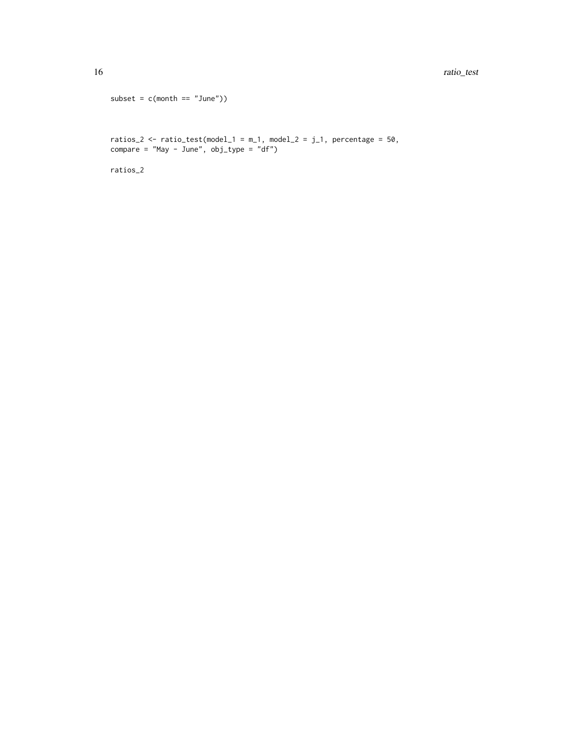```
subset = c(month == "June")
```
ratios\_2 <- ratio\_test(model\_1 = m\_1, model\_2 =  $j_1$ , percentage = 50, compare = "May - June", obj\_type = "df")

ratios\_2